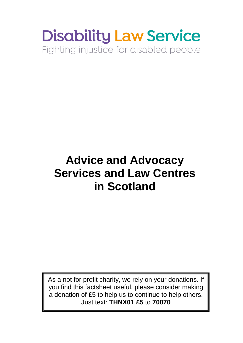# **Disability Law Service** Fighting injustice for disabled people

## **Advice and Advocacy Services and Law Centres in Scotland**

As a not for profit charity, we rely on your donations. If you find this factsheet useful, please consider making a donation of £5 to help us to continue to help others. Just text: **THNX01 £5** to **70070**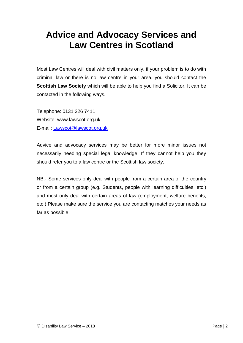## **Advice and Advocacy Services and Law Centres in Scotland**

Most Law Centres will deal with civil matters only, if your problem is to do with criminal law or there is no law centre in your area, you should contact the **Scottish Law Society** which will be able to help you find a Solicitor. It can be contacted in the following ways.

Telephone: 0131 226 7411 Website: www.lawscot.org.uk E-mail: [Lawscot@lawscot.org.uk](mailto:Lawscot@lawscot.org.uk)

Advice and advocacy services may be better for more minor issues not necessarily needing special legal knowledge. If they cannot help you they should refer you to a law centre or the Scottish law society.

NB:- Some services only deal with people from a certain area of the country or from a certain group (e.g. Students, people with learning difficulties, etc.) and most only deal with certain areas of law (employment, welfare benefits, etc.) Please make sure the service you are contacting matches your needs as far as possible.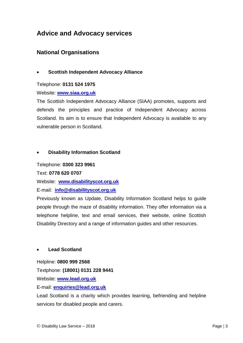#### **Advice and Advocacy services**

#### **National Organisations**

#### • **Scottish Independent Advocacy Alliance**

#### Telephone: **0131 524 1975**

Website: **[www.siaa.org.uk](http://www.siaa.org.uk/)**

The Scottish Independent Advocacy Alliance (SIAA) promotes, supports and defends the principles and practice of Independent Advocacy across Scotland. Its aim is to ensure that Independent Advocacy is available to any vulnerable person in Scotland.

#### • **Disability Information Scotland**

Telephone: **0300 323 9961**

Text: **0778 620 0707**

Website: **[www.disabilityscot.org.uk](http://www.disabilityscot.org.uk/)**

E-mail: **[info@disabilityscot.org.uk](mailto:info@disabilityscot.org.uk)**

Previously known as Update, Disability Information Scotland helps to guide people through the maze of disability information. They offer information via a telephone helpline, text and email services, their website, online Scottish Disability Directory and a range of information guides and other resources.

#### • **Lead Scotland**

#### Helpline: **0800 999 2568**

Textphone: **(18001) 0131 228 9441**

Website: **[www.lead.org.uk](http://www.lead.org.uk/)**

E-mail: **[enquiries@lead.org.uk](mailto:enquiries@lead.org.uk)**

Lead Scotland is a charity which provides learning, befriending and helpline services for disabled people and carers.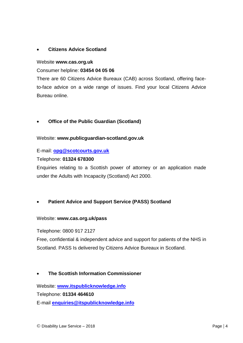#### • **Citizens Advice Scotland**

#### Website **www.cas.org.uk**

Consumer helpline: **03454 04 05 06**

There are 60 Citizens Advice Bureaux (CAB) across Scotland, offering faceto-face advice on a wide range of issues. Find your local Citizens Advice Bureau online.

#### • **Office of the Public Guardian (Scotland)**

Website: **www.publicguardian-scotland.gov.uk**

E-mail: **[opg@scotcourts.gov.uk](mailto:opg@scotcourts.gov.uk)**

Telephone: **01324 678300**

Enquiries relating to a Scottish power of attorney or an application made under the Adults with Incapacity (Scotland) Act 2000.

#### • **Patient Advice and Support Service (PASS) Scotland**

#### Website: **www.cas.org.uk/pass**

Telephone: 0800 917 2127

Free, confidential & independent advice and support for patients of the NHS in Scotland. PASS Is delivered by Citizens Advice Bureaux in Scotland.

#### • **The Scottish Information Commissioner**

Website: **[www.itspublicknowledge.info](http://www.itspublicknowledge.info/)** Telephone: **01334 464610** E-mail **[enquiries@itspublicknowledge.info](mailto:enquiries@itspublicknowledge.info)**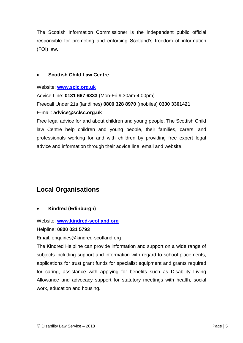The Scottish Information Commissioner is the independent public official responsible for promoting and enforcing Scotland's freedom of information (FOI) law.

#### • **Scottish Child Law Centre**

Website: **[www.sclc.org.uk](http://www.sclc.org.uk/)**

Advice Line: **0131 667 6333** (Mon-Fri 9.30am-4.00pm) Freecall Under 21s (landlines) **0800 328 8970** (mobiles) **0300 3301421** E-mail: **advice@sclsc.org.uk**

Free legal advice for and about children and young people. The Scottish Child law Centre help children and young people, their families, carers, and professionals working for and with children by providing free expert legal advice and information through their advice line, email and website.

### **Local Organisations**

• **Kindred (Edinburgh)**

#### Website: **[www.kindred-scotland.org](http://www.kindred-scotland.org/)**

#### Helpline: **0800 031 5793**

#### Email: enquiries@kindred-scotland.org

The Kindred Helpline can provide information and support on a wide range of subjects including support and information with regard to school placements, applications for trust grant funds for specialist equipment and grants required for caring, assistance with applying for benefits such as Disability Living Allowance and advocacy support for statutory meetings with health, social work, education and housing.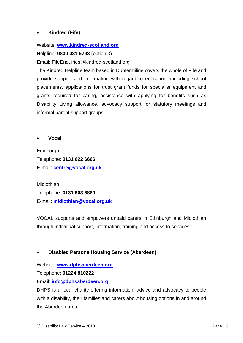#### • **Kindred (Fife)**

Website: **[www.kindred-scotland.org](http://www.kindred-scotland.org/)**

Helpline: **0800 031 5793** (option 3)

Email: FifeEnquiries@kindred-scotland.org

The Kindred Helpline team based in Dunfermiline covers the whole of Fife and provide support and information with regard to education, including school placements, applications for trust grant funds for specialist equipment and grants required for caring, assistance with applying for benefits such as Disability Living allowance, advocacy support for statutory meetings and informal parent support groups.

• **Vocal** 

Edinburgh Telephone: **0131 622 6666**  E-mail: **[centre@vocal.org.uk](mailto:centre@vocal.org.uk)**

Midlothian Telephone: **0131 663 6869** E-mail: **[midlothian@vocal.org.uk](mailto:midlothian@vocal.org.uk)**

VOCAL supports and empowers unpaid carers in Edinburgh and Midlothian through individual support, information, training and access to services.

#### • **Disabled Persons Housing Service (Aberdeen)**

Website: **[www.dphsaberdeen.org](http://www.dphsaberdeen.org/)**

Telephone: **01224 810222**

Email: **[info@dphsaberdeen.org](mailto:info@dphsaberdeen.org)**

DHPS is a local charity offering information, advice and advocacy to people with a disability, their families and carers about housing options in and around the Aberdeen area.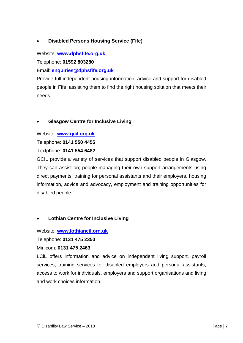#### • **Disabled Persons Housing Service (Fife)**

Website: **[www.dphsfife.org.uk](http://www.dphsfife.org.uk/)**

Telephone: **01592 803280**

Email: **[enquiries@dphsfife.org.uk](mailto:enquiries@dphsfife.org.uk)**

Provide full independent housing information, advice and support for disabled people in Fife, assisting them to find the right housing solution that meets their needs.

#### • **Glasgow Centre for Inclusive Living**

Website: **[www.gcil.org.uk](http://www.gcil.org.uk/)**

Telephone: **0141 550 4455**

Textphone: **0141 554 6482**

GCIL provide a variety of services that support disabled people in Glasgow. They can assist on; people managing their own support arrangements using direct payments, training for personal assistants and their employers, housing information, advice and advocacy, employment and training opportunities for disabled people.

#### • **Lothian Centre for Inclusive Living**

Website: **[www.lothiancil.org.uk](http://www.lothiancil.org.uk/)**

Telephone: **0131 475 2350**

Minicom: **0131 475 2463**

LCiL offers information and advice on independent living support, payroll services, training services for disabled employers and personal assistants, access to work for individuals, employers and support organisations and living and work choices information.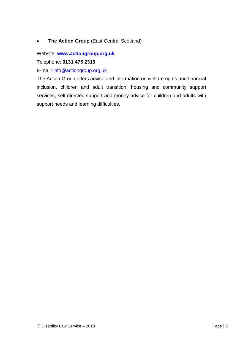#### • **The Action Group** (East Central Scotland)

Website: **[www.actiongroup.org.uk](http://www.actiongroup.org.uk/)**

Telephone: **0131 475 2315**

E-mail: [info@actiongroup.org.uk](mailto:info@actiongroup.org.uk)

The Action Group offers advice and information on welfare rights and financial inclusion, children and adult transition, housing and community support services, self-directed support and money advice for children and adults with support needs and learning difficulties.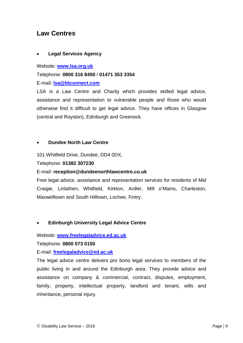#### **Law Centres**

#### • **Legal Services Agency**

Website: **[www.lsa.org.uk](http://www.lsa.org.uk/)**

Telephone: **0800 316 8450** / **01471 353 3354**

E-mail: **[lsa@btconnect.com](mailto:lsa@btconnect.com)**

LSA is a Law Centre and Charity which provides skilled legal advice, assistance and representation to vulnerable people and those who would otherwise find it difficult to get legal advice. They have offices in Glasgow (central and Royston), Edinburgh and Greenock.

#### • **Dundee North Law Centre**

101 Whitfield Drive, Dundee, DD4 0DX,

Telephone: **01382 307230**

#### E-mail: **reception@dundeenorthlawcentre.co.uk**

Free legal advice, assistance and representation services for residents of Mid Craigie, Linlathen, Whitfield, Kirkton, Ardler, Mill o'Mains, Charleston, Maxwelltown and South Hilltown, Lochee, Fintry.

#### • **Edinburgh University Legal Advice Centre**

Website: **[www.freelegaladvice.ed.ac.uk](http://www.freelegaladvice.ed.ac.uk/)**

Telephone: **0800 073 0150**

E-mail: **[freelegaladvice@ed.ac.uk](mailto:freelegaladvice@ed.ac.uk)**

The legal advice centre delivers pro bono legal services to members of the public living in and around the Edinburgh area. They provide advice and assistance on company & commercial, contract, disputes, employment, family, property, intellectual property, landlord and tenant, wills and inheritance, personal injury.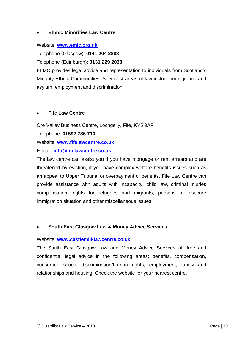#### **Ethnic Minorities Law Centre**

Website: **[www.emlc.org.uk](http://www.emlc.org.uk/)**

Telephone (Glasgow): **0141 204 2888**

Telephone (Edinburgh): **0131 229 2038** 

ELMC provides legal advice and representation to individuals from Scotland's Minority Ethnic Communities. Specialist areas of law include immigration and asylum, employment and discrimination.

#### • **Fife Law Centre**

Ore Valley Business Centre, Lochgelly, Fife, KY5 9AF Telephone: **01592 786 710** Website: **[www.fifelawcentre.co.uk](http://www.fifelawcentre.co.uk/)** E-mail: **[info@fifelawcentre.co.uk](mailto:info@fifelawcentre.co.uk)**

The law centre can assist you if you have mortgage or rent arrears and are threatened by eviction, if you have complex welfare benefits issues such as an appeal to Upper Tribunal or overpayment of benefits. Fife Law Centre can provide assistance with adults with incapacity, child law, criminal injuries compensation, rights for refugees and migrants, persons in insecure immigration situation and other miscellaneous issues.

#### • **South East Glasgow Law & Money Advice Services**

#### Website: **[www.castlemilklawcentre.co.uk](http://www.castlemilklawcentre.co.uk/)**

The South East Glasgow Law and Money Advice Services off free and confidential legal advice in the following areas: benefits, compensation, consumer issues, discrimination/human rights, employment, family and relationships and housing. Check the website for your nearest centre.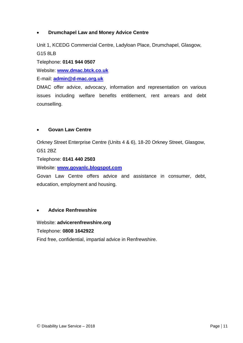#### • **Drumchapel Law and Money Advice Centre**

Unit 1, KCEDG Commercial Centre, Ladyloan Place, Drumchapel, Glasgow, G15 8LB

Telephone: **0141 944 0507**

Website: **[www.dmac.btck.co.uk](http://www.dmac.btck.co.uk/)**

E-mail: **[admin@d-mac.org.uk](mailto:admin@d-mac.org.uk)**

DMAC offer advice, advocacy, information and representation on various issues including welfare benefits entitlement, rent arrears and debt counselling.

#### • **Govan Law Centre**

Orkney Street Enterprise Centre (Units 4 & 6), 18-20 Orkney Street, Glasgow, G51 2BZ

Telephone: **0141 440 2503**

Website: **[www.govanlc.blogspot.com](http://www.govanlc.blogspot.com/)**

Govan Law Centre offers advice and assistance in consumer, debt, education, employment and housing.

#### • **Advice Renfrewshire**

Website: **advicerenfrewshire.org**

Telephone: **0808 1642922**

Find free, confidential, impartial advice in Renfrewshire.